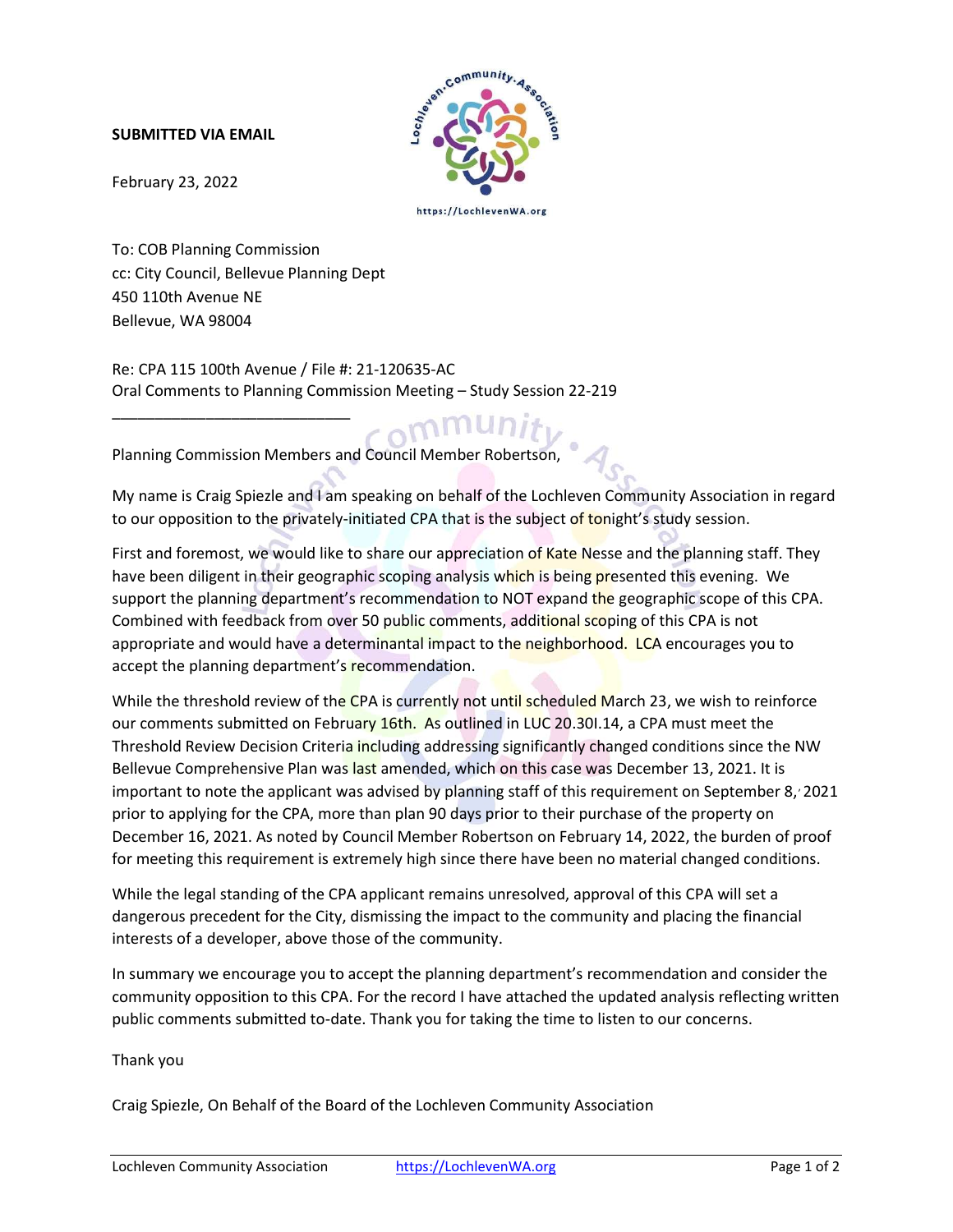## SUBMITTED VIA EMAIL



February 23, 2022

To: COB Planning Commission cc: City Council, Bellevue Planning Dept 450 110th Avenue NE Bellevue, WA 98004

\_\_\_\_\_\_\_\_\_\_\_\_\_\_\_\_\_\_\_\_\_\_\_\_\_\_\_\_

Re: CPA 115 100th Avenue / File #: 21-120635-AC Oral Comments to Planning Commission Meeting – Study Session 22-219

Planning Commission Members and Council Member Robertson,

My name is Craig Spiezle and I am speaking on behalf of the Lochleven Community Association in regard to our opposition to the privately-initiated CPA that is the subject of tonight's study session.

First and foremost, we would like to share our appreciation of Kate Nesse and the planning staff. They have been diligent in their geographic scoping analysis which is being presented this evening. We support the planning department's recommendation to NOT expand the geographic scope of this CPA. Combined with feedback from over 50 public comments, additional scoping of this CPA is not appropriate and would have a determinantal impact to the neighborhood. LCA encourages you to accept the planning department's recommendation.

While the threshold review of the CPA is currently not until scheduled March 23, we wish to reinforce our comments submitted on February 16th. As outlined in LUC 20.30I.14, a CPA must meet the Threshold Review Decision Criteria including addressing significantly changed conditions since the NW Bellevue Comprehensive Plan was last amended, which on this case was December 13, 2021. It is important to note the applicant was advised by planning staff of this requirement on September 8, 2021 prior to applying for the CPA, more than plan 90 days prior to their purchase of the property on December 16, 2021. As noted by Council Member Robertson on February 14, 2022, the burden of proof for meeting this requirement is extremely high since there have been no material changed conditions.

While the legal standing of the CPA applicant remains unresolved, approval of this CPA will set a dangerous precedent for the City, dismissing the impact to the community and placing the financial interests of a developer, above those of the community.

In summary we encourage you to accept the planning department's recommendation and consider the community opposition to this CPA. For the record I have attached the updated analysis reflecting written public comments submitted to-date. Thank you for taking the time to listen to our concerns.

Thank you

Craig Spiezle, On Behalf of the Board of the Lochleven Community Association